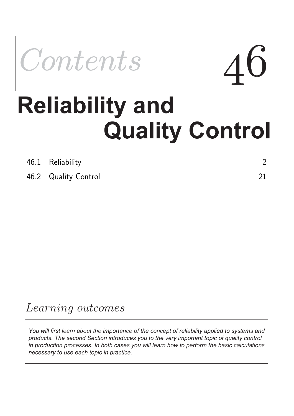

# **Quality Control Reliability and**

| 46.1 Reliability     |  |
|----------------------|--|
| 46.2 Quality Control |  |

## Learning outcomes

*You will first learn about the importance of the concept of reliability applied to systems and products. The second Section introduces you to the very important topic of quality control in production processes. In both cases you will learn how to perform the basic calculations necessary to use each topic in practice.*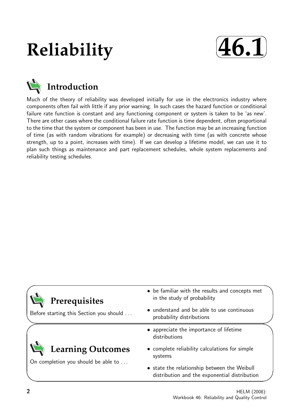## **Reliability**





Much of the theory of reliability was developed initially for use in the electronics industry where components often fail with little if any prior warning. In such cases the hazard function or conditional failure rate function is constant and any functioning component or system is taken to be 'as new'. There are other cases where the conditional failure rate function is time dependent, often proportional to the time that the system or component has been in use. The function may be an increasing function of time (as with random vibrations for example) or decreasing with time (as with concrete whose strength, up to a point, increases with time). If we can develop a lifetime model, we can use it to plan such things as maintenance and part replacement schedules, whole system replacements and reliability testing schedules.

| • be familiar with the results and concepts met<br>in the study of probability                |
|-----------------------------------------------------------------------------------------------|
| • understand and be able to use continuous<br>probability distributions                       |
| • appreciate the importance of lifetime<br>distributions                                      |
| • complete reliability calculations for simple<br>systems                                     |
| • state the relationship between the Weibull<br>distribution and the exponential distribution |
|                                                                                               |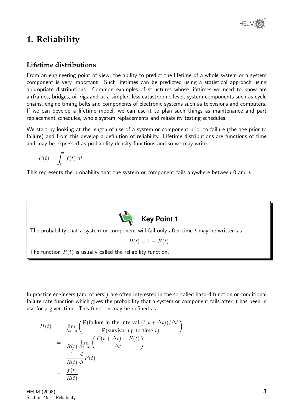## **1. Reliability**

#### **Lifetime distributions**

From an engineering point of view, the ability to predict the lifetime of a whole system or a system component is very important. Such lifetimes can be predicted using a statistical approach using appropriate distributions. Common examples of structures whose lifetimes we need to know are airframes, bridges, oil rigs and at a simpler, less catastrophic level, system components such as cycle chains, engine timing belts and components of electronic systems such as televisions and computers. If we can develop a lifetime model, we can use it to plan such things as maintenance and part replacement schedules, whole system replacements and reliability testing schedules.

We start by looking at the length of use of a system or component prior to failure (the age prior to failure) and from this develop a definition of reliability. Lifetime distributions are functions of time and may be expressed as probability density functions and so we may write

$$
F(t) = \int_0^t f(t) \, dt
$$

This represents the probability that the system or component fails anywhere between 0 and  $t$ .



The probability that a system or component will fail only after time  $t$  may be written as

 $R(t) = 1 - F(t)$ 

The function  $R(t)$  is usually called the reliability function.

In practice engineers (and others!) are often interested in the so-called hazard function or conditional failure rate function which gives the probability that a system or component fails after it has been in use for a given time. This function may be defined as

$$
H(t) = \lim_{\Delta t \to o} \left( \frac{P(\text{failure in the interval } (t, t + \Delta t))/\Delta t}{P(\text{survival up to time } t)} \right)
$$
  
= 
$$
\frac{1}{R(t)} \lim_{\Delta t \to o} \left( \frac{F(t + \Delta t) - F(t)}{\Delta t} \right)
$$
  
= 
$$
\frac{1}{R(t)} \frac{d}{dt} F(t)
$$
  
= 
$$
\frac{f(t)}{R(t)}
$$

HELM (2008): Section 46.1: Reliability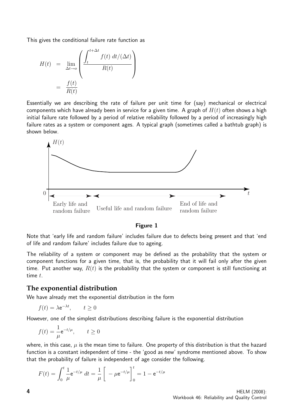This gives the conditional failure rate function as

$$
H(t) = \lim_{\Delta t \to o} \left( \frac{\int_t^{t + \Delta t} f(t) dt/(\Delta t)}{R(t)} \right)
$$

$$
= \frac{f(t)}{R(t)}
$$

Essentially we are describing the rate of failure per unit time for (say) mechanical or electrical components which have already been in service for a given time. A graph of  $H(t)$  often shows a high initial failure rate followed by a period of relative reliability followed by a period of increasingly high failure rates as a system or component ages. A typical graph (sometimes called a bathtub graph) is shown below.



#### Figure 1

Note that 'early life and random failure' includes failure due to defects being present and that 'end of life and random failure' includes failure due to ageing.

The reliability of a system or component may be defined as the probability that the system or component functions for a given time, that is, the probability that it will fail only after the given time. Put another way,  $R(t)$  is the probability that the system or component is still functioning at time t.

#### **The exponential distribution**

We have already met the exponential distribution in the form

$$
f(t) = \lambda e^{-\lambda t}, \qquad t \ge 0
$$

However, one of the simplest distributions describing failure is the exponential distribution

$$
f(t) = \frac{1}{\mu} e^{-t/\mu}, \qquad t \ge 0
$$

where, in this case,  $\mu$  is the mean time to failure. One property of this distribution is that the hazard function is a constant independent of time - the 'good as new' syndrome mentioned above. To show that the probability of failure is independent of age consider the following.

$$
F(t) = \int_0^t \frac{1}{\mu} e^{-t/\mu} dt = \frac{1}{\mu} \left[ -\mu e^{-t/\mu} \right]_0^t = 1 - e^{-t/\mu}
$$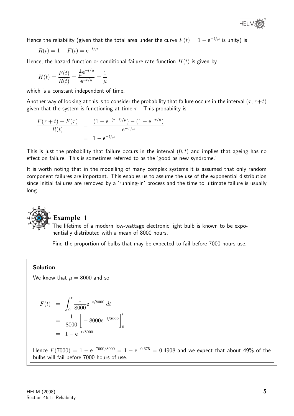

Hence the reliability (given that the total area under the curve  $F(t)=1-{\rm e}^{-t/\mu}$  is unity) is

$$
R(t) = 1 - F(t) = e^{-t/\mu}
$$

Hence, the hazard function or conditional failure rate function  $H(t)$  is given by

$$
H(t) = \frac{F(t)}{R(t)} = \frac{\frac{1}{\mu}e^{-t/\mu}}{e^{-t/\mu}} = \frac{1}{\mu}
$$

which is a constant independent of time.

Another way of looking at this is to consider the probability that failure occurs in the interval  $(\tau, \tau + t)$ given that the system is functioning at time  $\tau$ . This probability is

$$
\frac{F(\tau + t) - F(\tau)}{R(t)} = \frac{(1 - e^{-(\tau + t)/\mu}) - (1 - e^{-\tau/\mu})}{e^{-\tau/\mu}}
$$

$$
= 1 - e^{-t/\mu}
$$

This is just the probability that failure occurs in the interval  $(0, t)$  and implies that ageing has no effect on failure. This is sometimes referred to as the 'good as new syndrome.'

It is worth noting that in the modelling of many complex systems it is assumed that only random component failures are important. This enables us to assume the use of the exponential distribution since initial failures are removed by a 'running-in' process and the time to ultimate failure is usually long.



#### **Example 1**

The lifetime of a modern low-wattage electronic light bulb is known to be exponentially distributed with a mean of 8000 hours.

Find the proportion of bulbs that may be expected to fail before 7000 hours use.

#### Solution

We know that  $\mu = 8000$  and so

$$
F(t) = \int_0^t \frac{1}{8000} e^{-t/8000} dt
$$
  
=  $\frac{1}{8000} \left[ -8000 e^{-t/8000} \right]_0^t$   
=  $1 - e^{-t/8000}$ 

Hence  $F(7000) = 1 - e^{-7000/8000} = 1 - e^{-0.675} = 0.4908$  and we expect that about 49% of the bulbs will fail before 7000 hours of use.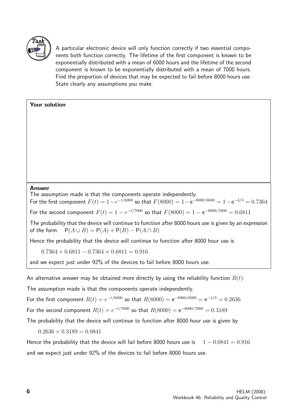

A particular electronic device will only function correctly if two essential components both function correctly. The lifetime of the first component is known to be exponentially distributed with a mean of 6000 hours and the lifetime of the second component is known to be exponentially distributed with a mean of 7000 hours. Find the proportion of devices that may be expected to fail before 8000 hours use. State clearly any assumptions you make.

#### Your solution

#### Answer

The assumption made is that the components operate independently.

For the first component  $F(t) = 1 - e^{-t/6000}$  so that  $F(8000) = 1 - e^{-8000/6000} = 1 - e^{-4/3} = 0.7364$ 

For the second component  $F(t) = 1 - e^{-t/7000}$  so that  $F(8000) = 1 - e^{-8000/7000} = 0.6811$ 

The probability that the device will continue to function after 8000 hours use is given by an expression of the form  $P(A \cup B) = P(A) + P(B) - P(A \cap B)$ 

Hence the probability that the device will continue to function after 8000 hour use is

 $0.7364 + 0.6811 - 0.7364 \times 0.6811 = 0.916$ 

and we expect just under 92% of the devices to fail before 8000 hours use.

An alternative answer may be obtained more directly by using the reliability function  $R(t)$ :

The assumption made is that the components operate independently.

For the first component  $R(t) = e^{-t/6000}$  so that  $R(8000) = e^{-8000/6000} = e^{-4/3} = 0.2636$ 

For the second component  $R(t) = e^{-t/7000}$  so that  $R(8000) = e^{-8000/7000} = 0.3189$ 

The probability that the device will continue to function after 8000 hour use is given by

 $0.2636 \times 0.3189 = 0.0841$ 

Hence the probability that the device will fail before 8000 hours use is  $1 - 0.0841 = 0.916$ and we expect just under 92% of the devices to fail before 8000 hours use.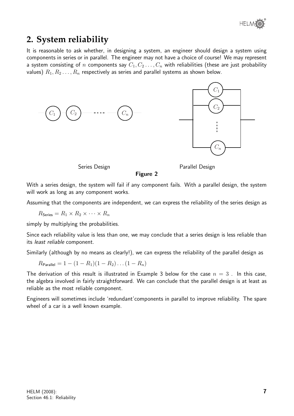

## **2. System reliability**

It is reasonable to ask whether, in designing a system, an engineer should design a system using components in series or in parallel. The engineer may not have a choice of course! We may represent a system consisting of n components say  $C_1, C_2 \ldots, C_n$  with reliabilities (these are just probability values)  $R_1, R_2, \ldots, R_n$  respectively as series and parallel systems as shown below.



Series Design **Parallel Design** 

Figure 2

With a series design, the system will fail if any component fails. With a parallel design, the system will work as long as any component works.

Assuming that the components are independent, we can express the reliability of the series design as

 $R_{\text{Series}} = R_1 \times R_2 \times \cdots \times R_n$ 

simply by multiplying the probabilities.

Since each reliability value is less than one, we may conclude that a series design is less reliable than its least reliable component.

Similarly (although by no means as clearly!), we can express the reliability of the parallel design as

 $R_{\text{Parallel}} = 1 - (1 - R_1)(1 - R_2) \dots (1 - R_n)$ 

The derivation of this result is illustrated in Example 3 below for the case  $n = 3$ . In this case, the algebra involved in fairly straightforward. We can conclude that the parallel design is at least as reliable as the most reliable component.

Engineers will sometimes include 'redundant'components in parallel to improve reliability. The spare wheel of a car is a well known example.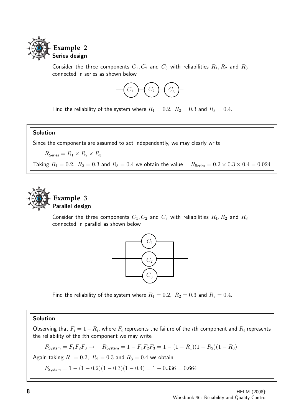

Consider the three components  $C_1, C_2$  and  $C_3$  with reliabilities  $R_1, R_2$  and  $R_3$ connected in series as shown below



Find the reliability of the system where  $R_1 = 0.2$ ,  $R_2 = 0.3$  and  $R_3 = 0.4$ .

#### Solution

Since the components are assumed to act independently, we may clearly write

 $R_{\text{Series}} = R_1 \times R_2 \times R_3$ 

Taking  $R_1 = 0.2$ ,  $R_2 = 0.3$  and  $R_3 = 0.4$  we obtain the value  $R_{\text{Series}} = 0.2 \times 0.3 \times 0.4 = 0.024$ 



#### **Example 3** Parallel design

Consider the three components  $C_1, C_2$  and  $C_3$  with reliabilities  $R_1, R_2$  and  $R_3$ connected in parallel as shown below



Find the reliability of the system where  $R_1 = 0.2$ ,  $R_2 = 0.3$  and  $R_3 = 0.4$ .

#### Solution

Observing that  $F_i = 1 - R_i$ , where  $F_i$  represents the failure of the ith component and  $R_i$  represents the reliability of the  $i$ th component we may write

$$
F_{\text{System}} = F_1 F_2 F_3 \rightarrow R_{\text{System}} = 1 - F_1 F_2 F_3 = 1 - (1 - R_1)(1 - R_2)(1 - R_3)
$$

Again taking  $R_1 = 0.2$ ,  $R_2 = 0.3$  and  $R_3 = 0.4$  we obtain

 $F_{\text{System}} = 1 - (1 - 0.2)(1 - 0.3)(1 - 0.4) = 1 - 0.336 = 0.664$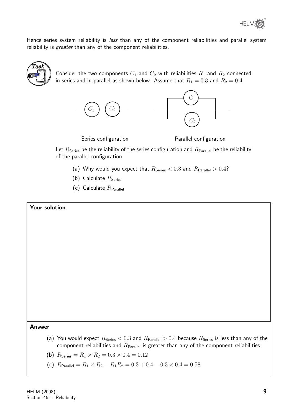

Hence series system reliability is less than any of the component reliabilities and parallel system reliability is greater than any of the component reliabilities.



Consider the two components  $C_1$  and  $C_2$  with reliabilities  $R_1$  and  $R_2$  connected in series and in parallel as shown below. Assume that  $R_1 = 0.3$  and  $R_2 = 0.4$ .



Series configuration **Parallel configuration** 

Let  $R_{\text{Series}}$  be the reliability of the series configuration and  $R_{\text{Parallel}}$  be the reliability of the parallel configuration

- (a) Why would you expect that  $R_{\text{Series}} < 0.3$  and  $R_{\text{Parallel}} > 0.4$ ?
- (b) Calculate  $R_{\text{Series}}$
- (c) Calculate  $R_{\text{Parallel}}$

#### Your solution

Answer

- (a) You would expect  $R_{\text{Series}} < 0.3$  and  $R_{\text{Parallel}} > 0.4$  because  $R_{\text{Series}}$  is less than any of the component reliabilities and  $R_{\text{Parallel}}$  is greater than any of the component reliabilities.
- (b)  $R_{\text{Series}} = R_1 \times R_2 = 0.3 \times 0.4 = 0.12$
- (c)  $R_{\text{Parallel}} = R_1 \times R_2 R_1 R_2 = 0.3 + 0.4 0.3 \times 0.4 = 0.58$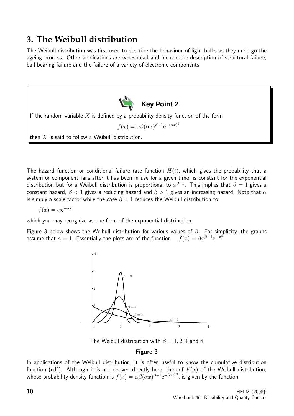### **3. The Weibull distribution**

The Weibull distribution was first used to describe the behaviour of light bulbs as they undergo the ageing process. Other applications are widespread and include the description of structural failure, ball-bearing failure and the failure of a variety of electronic components.



The hazard function or conditional failure rate function  $H(t)$ , which gives the probability that a system or component fails after it has been in use for a given time, is constant for the exponential distribution but for a Weibull distribution is proportional to  $x^{\beta-1}$ . This implies that  $\beta=1$  gives a constant hazard,  $\beta$  < 1 gives a reducing hazard and  $\beta$  > 1 gives an increasing hazard. Note that  $\alpha$ is simply a scale factor while the case  $\beta = 1$  reduces the Weibull distribution to

$$
f(x) = \alpha e^{-\alpha x}
$$

which you may recognize as one form of the exponential distribution.

Figure 3 below shows the Weibull distribution for various values of  $\beta$ . For simplicity, the graphs assume that  $\alpha = 1$ . Essentially the plots are of the function  $e^{-x^{\beta}}$ 



The Weibull distribution with  $\beta = 1, 2, 4$  and 8

#### Figure 3

In applications of the Weibull distribution, it is often useful to know the cumulative distribution function (cdf). Although it is not derived directly here, the cdf  $F(x)$  of the Weibull distribution, whose probability density function is  $f(x)=\alpha\beta(\alpha x)^{\beta-1}\mathrm{e}^{-(\alpha x)^{\beta}}$ , is given by the function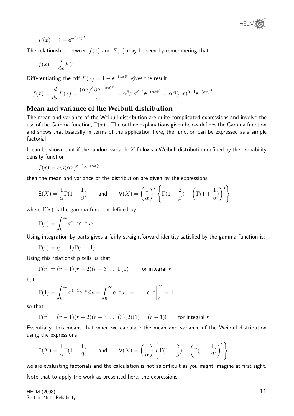

$$
F(x) = 1 - e^{-(\alpha x)^{\beta}}
$$

The relationship between  $f(x)$  and  $F(x)$  may be seen by remembering that

$$
f(x) = \frac{d}{dx}F(x)
$$

Differentiating the cdf  $F(x) = 1 - e^{-(\alpha x)^{\beta}}$  gives the result

$$
f(x) = \frac{d}{dx}F(x) = \frac{(\alpha x)^{\beta}\beta e^{-(\alpha x)^{\beta}}}{x} = \alpha^{\beta}\beta x^{\beta-1}e^{-(\alpha x)^{\beta}} = \alpha\beta(\alpha x)^{\beta-1}e^{-(\alpha x)^{\beta}}
$$

#### **Mean and variance of the Weibull distribution**

The mean and variance of the Weibull distribution are quite complicated expressions and involve the use of the Gamma function,  $\Gamma(x)$ . The outline explanations given below defines the Gamma function and shows that basically in terms of the application here, the function can be expressed as a simple factorial.

It can be shown that if the random variable  $X$  follows a Weibull distribution defined by the probability density function

$$
f(x) = \alpha \beta (\alpha x)^{\beta - 1} e^{-(\alpha x)^{\beta}}
$$

then the mean and variance of the distribution are given by the expressions

$$
E(X) = \frac{1}{\alpha} \Gamma(1 + \frac{1}{\beta})
$$
 and  $V(X) = \left(\frac{1}{\alpha}\right)^2 \left\{\Gamma(1 + \frac{2}{\beta}) - \left(\Gamma(1 + \frac{1}{\beta})\right)^2\right\}$ 

where  $\Gamma(r)$  is the gamma function defined by

$$
\Gamma(r) = \int_0^\infty x^{r-1} \mathrm{e}^{-x} dx
$$

Using integration by parts gives a fairly straightforward identity satisfied by the gamma function is:

$$
\Gamma(r) = (r-1)\Gamma(r-1)
$$

Using this relationship tells us that

$$
\Gamma(r) = (r-1)(r-2)(r-3)\dots\Gamma(1) \qquad \text{for integral } r
$$

but

$$
\Gamma(1) = \int_0^\infty x^{1-1} e^{-x} dx = \int_0^\infty e^{-x} dx = \left[ -e^{-x} \right]_0^\infty = 1
$$

so that

$$
\Gamma(r) = (r-1)(r-2)(r-3)...(3)(2)(1) = (r-1)!
$$
 for integral r

Essentially, this means that when we calculate the mean and variance of the Weibull distribution using the expressions

$$
\mathsf{E}(X) = \frac{1}{\alpha} \Gamma(1 + \frac{1}{\beta}) \quad \text{and} \quad \mathsf{V}(X) = \left(\frac{1}{\alpha}\right) \left\{ \Gamma(1 + \frac{2}{\beta}) - \left(\Gamma(1 + \frac{1}{\beta})\right)^2 \right\}
$$

we are evaluating factorials and the calculation is not as difficult as you might imagine at first sight.

Note that to apply the work as presented here, the expressions

HELM (2008): Section 46.1: Reliability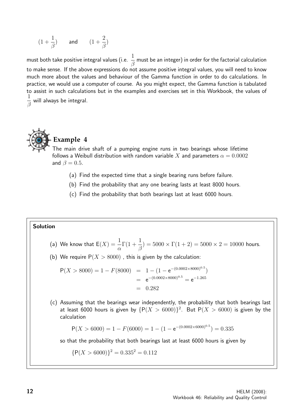$$
(1+\frac{1}{\beta}) \qquad \text{and} \qquad (1+\frac{2}{\beta})
$$

must both take positive integral values (i.e.  $\frac{1}{\epsilon}$ β must be an integer) in order for the factorial calculation to make sense. If the above expressions do not assume positive integral values, you will need to know much more about the values and behaviour of the Gamma function in order to do calculations. In practice, we would use a computer of course. As you might expect, the Gamma function is tabulated to assist in such calculations but in the examples and exercises set in this Workbook, the values of 1 β will always be integral.



#### **Example 4**

The main drive shaft of a pumping engine runs in two bearings whose lifetime follows a Weibull distribution with random variable X and parameters  $\alpha = 0.0002$ and  $\beta = 0.5$ .

- (a) Find the expected time that a single bearing runs before failure.
- (b) Find the probability that any one bearing lasts at least 8000 hours.
- (c) Find the probability that both bearings last at least 6000 hours.

#### Solution

- (a) We know that  $\mathsf{E}(X) = \frac{1}{\tau}$  $\alpha$  $\Gamma(1+\frac{1}{a})$ β  $) = 5000 \times \Gamma(1 + 2) = 5000 \times 2 = 10000$  hours.
- (b) We require  $P(X > 8000)$  , this is given by the calculation:

$$
P(X > 8000) = 1 - F(8000) = 1 - (1 - e^{-(0.0002 \times 8000)^{0.5}})
$$
  
= e^{-(0.0002 \times 8000)^{0.5}} = e^{-1.265}  
= 0.282

(c) Assuming that the bearings wear independently, the probability that both bearings last at least 6000 hours is given by  $\{P(X > 6000)\}^2$ . But  $P(X > 6000)$  is given by the calculation

$$
P(X > 6000) = 1 - F(6000) = 1 - (1 - e^{-(0.0002 \times 6000)^{0.5}}) = 0.335
$$

so that the probability that both bearings last at least 6000 hours is given by

$$
{P(X > 6000)}^2 = 0.335^2 = 0.112
$$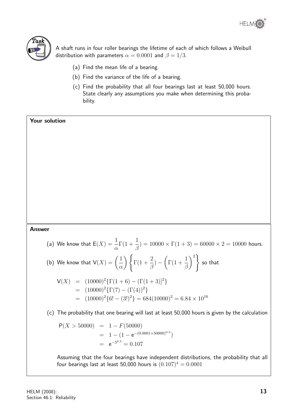



A shaft runs in four roller bearings the lifetime of each of which follows a Weibull distribution with parameters  $\alpha = 0.0001$  and  $\beta = 1/3$ .

- (a) Find the mean life of a bearing.
- (b) Find the variance of the life of a bearing.
- (c) Find the probability that all four bearings last at least 50,000 hours. State clearly any assumptions you make when determining this probability.

Your solution

#### Answer

(a) We know that  $\mathsf{E}(X) = \frac{1}{\tau}$  $\alpha$  $\Gamma(1+\frac{1}{a})$ β  $) = 10000 \times \Gamma(1+3) = 60000 \times 2 = 10000$  hours.

(b) We know that 
$$
V(X) = \left(\frac{1}{\alpha}\right) \left\{ \Gamma(1 + \frac{2}{\beta}) - \left(\Gamma(1 + \frac{1}{\beta})\right)^2 \right\}
$$
 so that

$$
V(X) = (10000)^{2} \{ \Gamma(1+6) - (\Gamma(1+3))^{2} \}
$$
  
=  $(10000)^{2} \{ \Gamma(7) - (\Gamma(4))^{2} \}$   
=  $(10000)^{2} \{ 6! - (3!)^{2} \} = 684(10000)^{2} = 6.84 \times 10^{10}$ 

(c) The probability that one bearing will last at least 50,000 hours is given by the calculation

$$
P(X > 50000) = 1 - F(50000)
$$
  
= 1 - (1 - e<sup>-(0.0001×50000)<sup>0.5</sup>)  
= e<sup>-5<sup>0.5</sup></sup> = 0.107</sup>

Assuming that the four bearings have independent distributions, the probability that all four bearings last at least 50,000 hours is  $(0.107)^4 = 0.0001$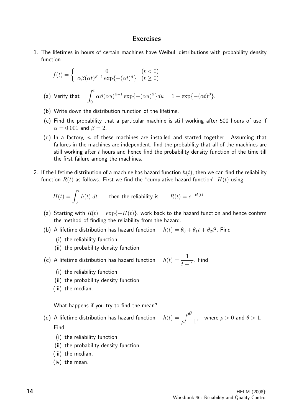#### **Exercises**

1. The lifetimes in hours of certain machines have Weibull distributions with probability density function

$$
f(t) = \begin{cases} 0 & (t < 0) \\ \alpha \beta(\alpha t)^{\beta - 1} \exp\{-(\alpha t)^{\beta}\} & (t \ge 0) \end{cases}
$$
\n(a) Verify that

\n
$$
\int_0^t \alpha \beta(\alpha u)^{\beta - 1} \exp\{-(\alpha u)^{\beta}\} du = 1 - \exp\{-(\alpha t)^{\beta}\}.
$$

- (b) Write down the distribution function of the lifetime.
- (c) Find the probability that a particular machine is still working after 500 hours of use if  $\alpha = 0.001$  and  $\beta = 2$ .
- (d) In a factory,  $n$  of these machines are installed and started together. Assuming that failures in the machines are independent, find the probability that all of the machines are still working after  $t$  hours and hence find the probability density function of the time till the first failure among the machines.
- 2. If the lifetime distribution of a machine has hazard function  $h(t)$ , then we can find the reliability function  $R(t)$  as follows. First we find the "cumulative hazard function"  $H(t)$  using

$$
H(t) = \int_0^t h(t) \, dt
$$
 then the reliability is  $R(t) = e^{-H(t)}$ 

- (a) Starting with  $R(t) = \exp\{-H(t)\}\,$ , work back to the hazard function and hence confirm the method of finding the reliability from the hazard.
- $(b)$  A lifetime distribution has hazard function  $2.$  Find
	- (i) the reliability function.
	- (ii) the probability density function.

(c) A lifetime distribution has hazard function  $h$ 

$$
u(t) = \frac{1}{t+1}.
$$
 Find

.

- (i) the reliability function;
- (ii) the probability density function;
- (iii) the median.

What happens if you try to find the mean?

(d) A lifetime distribution has hazard function  $\hbar$ Find

$$
h(t) = \frac{\rho\theta}{\rho t + 1}
$$
, where  $\rho > 0$  and  $\theta > 1$ .

- (i) the reliability function.
- (ii) the probability density function.
- (iii) the median.
- (iv) the mean.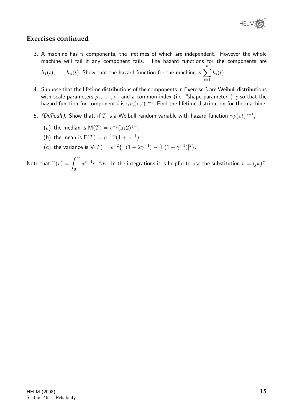

#### **Exercises continued**

- 3. A machine has n components, the lifetimes of which are independent. However the whole machine will fail if any component fails. The hazard functions for the components are  $h_1(t),\ldots,h_n(t)$ . Show that the hazard function for the machine is  $\displaystyle{\sum^n h_i(t)}.$  $i=1$
- 4. Suppose that the lifetime distributions of the components in Exercise 3 are Weibull distributions with scale parameters  $\rho_1, \ldots, \rho_n$  and a common index (i.e. "shape parameter")  $\gamma$  so that the hazard function for component  $i$  is  $\gamma \rho_i(\rho_i t)^{\gamma-1}.$  Find the lifetime distribution for the machine.
- 5. *(Difficult).* Show that, if  $T$  is a Weibull random variable with hazard function  $\gamma \rho(\rho t)^{\gamma-1},$ 
	- (a) the median is  $M(T) = \rho^{-1}(\ln 2)^{1/\gamma}$ ,
	- (b) the mean is  $E(T) = \rho^{-1} \Gamma(1 + \gamma^{-1})$
	- (c) the variance is  $V(T) = \rho^{-2} \{ \Gamma(1 + 2\gamma^{-1}) [\Gamma(1 + \gamma^{-1})]^2 \}.$

Note that  $\Gamma(r) = \int^\infty$  $\mathbf{0}$  $x^{r-1}e^{-x}dx.$  In the integrations it is helpful to use the substitution  $u=(\rho t)^{\gamma}.$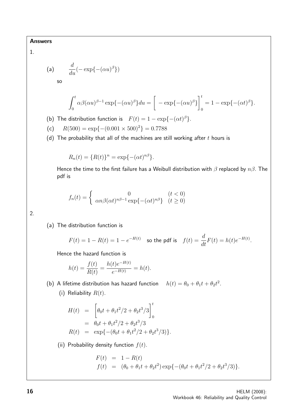#### 1.

(a) 
$$
\frac{d}{du}(-\exp\{-(\alpha u)^{\beta}\})
$$
so

$$
\int_0^t \alpha \beta(\alpha u)^{\beta-1} \exp\{- (\alpha u)^{\beta}\} du = \left[ -\exp\{-(\alpha u)^{\beta}\} \right]_0^t = 1 - \exp\{-(\alpha t)^{\beta}\}.
$$

(b) The distribution function is  $F(t) = 1 - \exp{-\left(\alpha t\right)^{\beta}}$ .

- (c)  $R(500) = \exp\{-(0.001 \times 500)^2\} = 0.7788$
- (d) The probability that all of the machines are still working after  $t$  hours is

$$
R_n(t) = \{R(t)\}^n = \exp\{- (\alpha t)^{n\beta}\}.
$$

Hence the time to the first failure has a Weibull distribution with  $\beta$  replaced by  $n\beta$ . The pdf is

$$
f_n(t) = \begin{cases} 0 & (t < 0) \\ \alpha n \beta (\alpha t)^{n\beta - 1} \exp\{-(\alpha t)^{n\beta}\} & (t \ge 0) \end{cases}
$$

#### 2.

(a) The distribution function is

$$
F(t) = 1 - R(t) = 1 - e^{-H(t)}
$$
 so the pdf is  $f(t) = \frac{d}{dt}F(t) = h(t)e^{-H(t)}$ .

Hence the hazard function is

$$
h(t) = \frac{f(t)}{R(t)} = \frac{h(t)e^{-H(t)}}{e^{-H(t)}} = h(t).
$$

(b) A lifetime distribution has hazard function  $h(t) = \theta_0 + \theta_1 t + \theta_2 t^2$ .

(i) Reliability  $R(t)$ .

$$
H(t) = \left[ \theta_0 t + \theta_1 t^2 / 2 + \theta_2 t^3 / 3 \right]_0^t
$$
  
=  $\theta_0 t + \theta_1 t^2 / 2 + \theta_2 t^3 / 3$   

$$
R(t) = \exp\{-(\theta_0 t + \theta_1 t^2 / 2 + \theta_2 t^3 / 3)\}.
$$

(ii) Probability density function  $f(t)$ .

$$
F(t) = 1 - R(t)
$$
  
\n
$$
f(t) = (\theta_0 + \theta_1 t + \theta_2 t^2) \exp{-(\theta_0 t + \theta_1 t^2/2 + \theta_2 t^3/3)}.
$$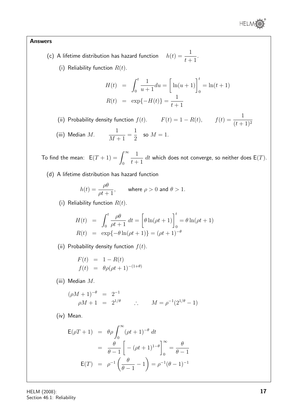

- $(c)$  A lifetime distribution has hazard function  $t+1$ 
	- (i) Reliability function  $R(t)$ .

$$
H(t) = \int_0^t \frac{1}{u+1} du = \left[ \ln(u+1) \right]_0^t = \ln(t+1)
$$
  

$$
R(t) = \exp\{-H(t)\} = \frac{1}{t+1}
$$

.

(ii) Probability density function  $f(t)$ .  $F(t) = 1 - R(t)$ ,  $f(t) = \frac{1}{\sqrt{t-t}}$  $(t+1)^2$ (iii) Median  $M$ .  $M+1$ = 1 2 so  $M=1$ .

To find the mean:  $E(T + 1) = \int^{\infty}$ 0 1  $t+1$  $dt$  which does not converge, so neither does  $\mathsf{E}(T).$ 

(d) A lifetime distribution has hazard function

$$
h(t) = \frac{\rho \theta}{\rho t + 1}, \quad \text{where } \rho > 0 \text{ and } \theta > 1.
$$

(i) Reliability function  $R(t)$ .

$$
H(t) = \int_0^t \frac{\rho \theta}{\rho t + 1} dt = \left[ \theta \ln(\rho t + 1) \right]_0^t = \theta \ln(\rho t + 1)
$$
  

$$
R(t) = \exp\{-\theta \ln(\rho t + 1)\} = (\rho t + 1)^{-\theta}
$$

(ii) Probability density function  $f(t)$ .

$$
F(t) = 1 - R(t)
$$
  

$$
f(t) = \theta \rho (\rho t + 1)^{-(1+\theta)}
$$

(iii) Median M.

$$
(\rho M + 1)^{-\theta} = 2^{-1}
$$
  
\n
$$
\rho M + 1 = 2^{1/\theta} \qquad \therefore \qquad M = \rho^{-1}(2^{1/\theta} - 1)
$$

(iv) Mean.

$$
E(\rho T + 1) = \theta \rho \int_0^{\infty} (\rho t + 1)^{-\theta} dt
$$
  
=  $\frac{\theta}{\theta - 1} \left[ -( \rho t + 1)^{1-\theta} \right]_0^{\infty} = \frac{\theta}{\theta - 1}$   

$$
E(T) = \rho^{-1} \left( \frac{\theta}{\theta - 1} - 1 \right) = \rho^{-1} (\theta - 1)^{-1}
$$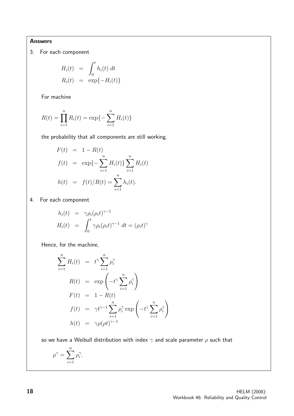3. For each component

$$
H_i(t) = \int_0^t h_i(t) dt
$$
  

$$
R_i(t) = \exp{-H_i(t)}
$$

For machine

$$
R(t) = \prod_{i=1}^{n} R_i(t) = \exp\{-\sum_{i=1}^{n} H_i(t)\}
$$

the probability that all components are still working.

$$
F(t) = 1 - R(t)
$$
  
\n
$$
f(t) = \exp\{-\sum_{i=1}^{n} H_i(t)\} \sum_{i=1}^{n} H_i(t)
$$
  
\n
$$
h(t) = f(t)/R(t) = \sum_{i=1}^{n} h_i(t).
$$

4. For each component

$$
h_i(t) = \gamma \rho_i (\rho_i t)^{\gamma - 1}
$$
  
\n
$$
H_i(t) = \int_0^t \gamma \rho_i (\rho_i t)^{\gamma - 1} dt = (\rho_i t)^{\gamma}
$$

Hence, for the machine,

$$
\sum_{i=1}^{n} H_i(t) = t^{\gamma} \sum_{i=1}^{n} \rho_i^{\gamma}
$$
  
\n
$$
R(t) = \exp\left(-t^{\gamma} \sum_{i=1}^{n} \rho_i^{\gamma}\right)
$$
  
\n
$$
F(t) = 1 - R(t)
$$
  
\n
$$
f(t) = \gamma t^{\gamma - 1} \sum_{i=1}^{n} \rho_i^{\gamma} \exp\left(-t^{\gamma} \sum_{i=1}^{n} \rho_i^{\gamma}\right)
$$
  
\n
$$
h(t) = \gamma \rho (\rho t)^{\gamma - 1}
$$

so we have a Weibull distribution with index  $\gamma$  and scale parameter  $\rho$  such that

$$
\rho^{\gamma} = \sum_{i=1}^{n} \rho_i^{\gamma}.
$$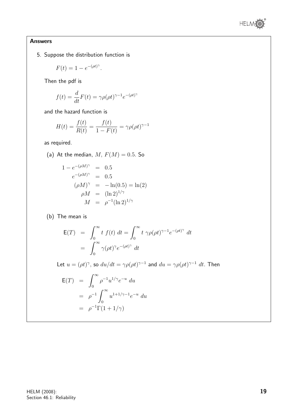

5. Suppose the distribution function is

$$
F(t) = 1 - e^{-(\rho t)^{\gamma}}.
$$

Then the pdf is

$$
f(t) = \frac{d}{dt}F(t) = \gamma \rho(\rho t)^{\gamma - 1} e^{-(\rho t)^{\gamma}}
$$

and the hazard function is

$$
H(t) = \frac{f(t)}{R(t)} = \frac{f(t)}{1 - F(t)} = \gamma \rho (\rho t)^{\gamma - 1}
$$

as required.

(a) At the median,  $M, F(M) = 0.5$ . So

$$
1 - e^{-(\rho M)^{\gamma}} = 0.5
$$
  
\n
$$
e^{-(\rho M)^{\gamma}} = 0.5
$$
  
\n
$$
(\rho M)^{\gamma} = -\ln(0.5) = \ln(2)
$$
  
\n
$$
\rho M = (\ln 2)^{1/\gamma}
$$
  
\n
$$
M = \rho^{-1}(\ln 2)^{1/\gamma}
$$

(b) The mean is

$$
\begin{aligned} \mathsf{E}(T) &= \int_0^\infty t \ f(t) \ dt = \int_0^\infty t \ \gamma \rho(\rho t)^{\gamma - 1} e^{-(\rho t)^{\gamma}} \ dt \\ &= \int_0^\infty \gamma(\rho t)^{\gamma} e^{-(\rho t)^{\gamma}} \ dt \end{aligned}
$$

Let  $u = (\rho t)^{\gamma}$ , so  $du/dt = \gamma \rho (\rho t)^{\gamma - 1}$  and  $du = \gamma \rho (\rho t)^{\gamma - 1} dt$ . Then

$$
\begin{aligned} \mathsf{E}(T) &= \int_0^\infty \rho^{-1} u^{1/\gamma} e^{-u} \, du \\ &= \rho^{-1} \int_0^\infty u^{1+1/\gamma - 1} e^{-u} \, du \\ &= \rho^{-1} \Gamma(1 + 1/\gamma) \end{aligned}
$$